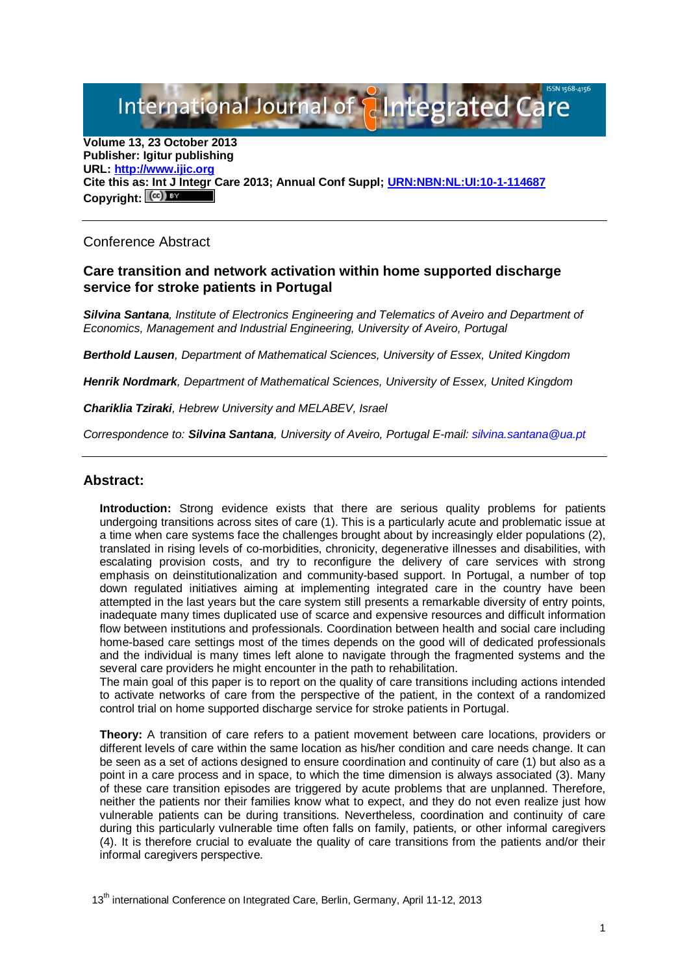International Journal of **Plntegrated** 

**Volume 13, 23 October 2013 Publisher: Igitur publishing URL[: http://www.ijic.org](http://www.ijic.org/) Cite this as: Int J Integr Care 2013; Annual Conf Suppl; [URN:NBN:NL:UI:10-1-114687](http://persistent-identifier.nl/?identifier=URN:NBN:NL:UI:10-1-114687)** Copyright:  $(cc)$  BY

# Conference Abstract

## **Care transition and network activation within home supported discharge service for stroke patients in Portugal**

*Silvina Santana, Institute of Electronics Engineering and Telematics of Aveiro and Department of Economics, Management and Industrial Engineering, University of Aveiro, Portugal*

*Berthold Lausen, Department of Mathematical Sciences, University of Essex, United Kingdom*

*Henrik Nordmark, Department of Mathematical Sciences, University of Essex, United Kingdom*

*Chariklia Tziraki, Hebrew University and MELABEV, Israel*

*Correspondence to: Silvina Santana, University of Aveiro, Portugal E-mail[: silvina.santana@ua.pt](mailto:silvina.santana@ua.pt)*

### **Abstract:**

**Introduction:** Strong evidence exists that there are serious quality problems for patients undergoing transitions across sites of care (1). This is a particularly acute and problematic issue at a time when care systems face the challenges brought about by increasingly elder populations (2), translated in rising levels of co-morbidities, chronicity, degenerative illnesses and disabilities, with escalating provision costs, and try to reconfigure the delivery of care services with strong emphasis on deinstitutionalization and community-based support. In Portugal, a number of top down regulated initiatives aiming at implementing integrated care in the country have been attempted in the last years but the care system still presents a remarkable diversity of entry points, inadequate many times duplicated use of scarce and expensive resources and difficult information flow between institutions and professionals. Coordination between health and social care including home-based care settings most of the times depends on the good will of dedicated professionals and the individual is many times left alone to navigate through the fragmented systems and the several care providers he might encounter in the path to rehabilitation.

The main goal of this paper is to report on the quality of care transitions including actions intended to activate networks of care from the perspective of the patient, in the context of a randomized control trial on home supported discharge service for stroke patients in Portugal.

**Theory:** A transition of care refers to a patient movement between care locations, providers or different levels of care within the same location as his/her condition and care needs change. It can be seen as a set of actions designed to ensure coordination and continuity of care (1) but also as a point in a care process and in space, to which the time dimension is always associated (3). Many of these care transition episodes are triggered by acute problems that are unplanned. Therefore, neither the patients nor their families know what to expect, and they do not even realize just how vulnerable patients can be during transitions. Nevertheless, coordination and continuity of care during this particularly vulnerable time often falls on family, patients, or other informal caregivers (4). It is therefore crucial to evaluate the quality of care transitions from the patients and/or their informal caregivers perspective.

13<sup>th</sup> international Conference on Integrated Care, Berlin, Germany, April 11-12, 2013